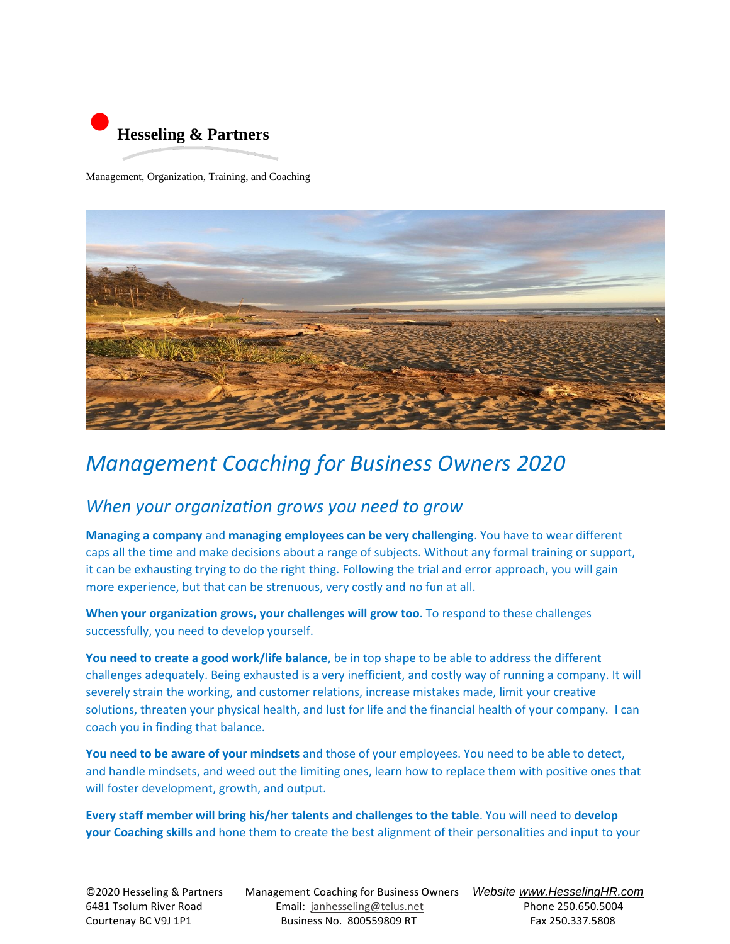

Management, Organization, Training, and Coaching



## *Management Coaching for Business Owners 2020*

## *When your organization grows you need to grow*

**Managing a company** and **managing employees can be very challenging**. You have to wear different caps all the time and make decisions about a range of subjects. Without any formal training or support, it can be exhausting trying to do the right thing. Following the trial and error approach, you will gain more experience, but that can be strenuous, very costly and no fun at all.

**When your organization grows, your challenges will grow too**. To respond to these challenges successfully, you need to develop yourself.

**You need to create a good work/life balance**, be in top shape to be able to address the different challenges adequately. Being exhausted is a very inefficient, and costly way of running a company. It will severely strain the working, and customer relations, increase mistakes made, limit your creative solutions, threaten your physical health, and lust for life and the financial health of your company. I can coach you in finding that balance.

**You need to be aware of your mindsets** and those of your employees. You need to be able to detect, and handle mindsets, and weed out the limiting ones, learn how to replace them with positive ones that will foster development, growth, and output.

**Every staff member will bring his/her talents and challenges to the table**. You will need to **develop your Coaching skills** and hone them to create the best alignment of their personalities and input to your

©2020 Hesseling & PartnersManagement Coaching for Business Owners *Website www.HesselingHR.com* 6481 Tsolum River Road Email: [janhesseling@telus.net](mailto:janhesseling@telus.net) Phone 250.650.5004 Courtenay BC V9J 1P1 Business No. 800559809 RT Fax 250.337.5808